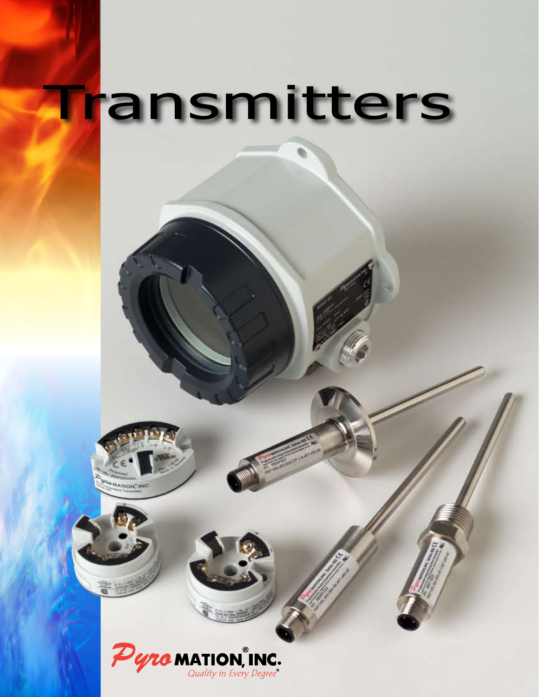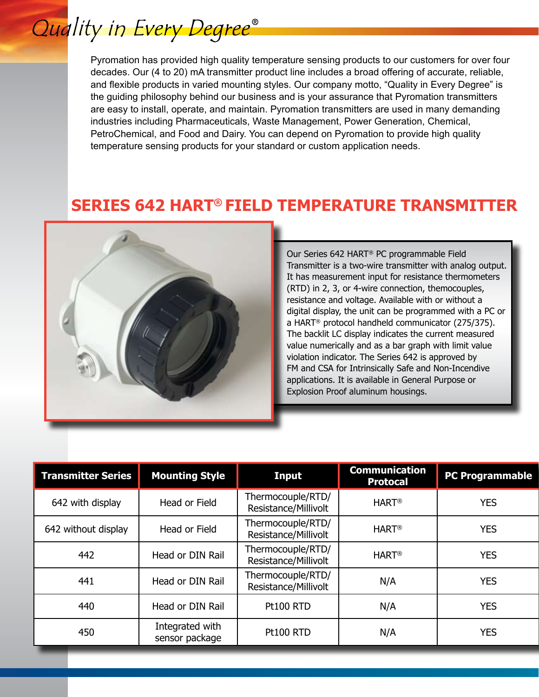## Quality in Every Degree®

Pyromation has provided high quality temperature sensing products to our customers for over four decades. Our (4 to 20) mA transmitter product line includes a broad offering of accurate, reliable, and flexible products in varied mounting styles. Our company motto, "Quality in Every Degree" is the guiding philosophy behind our business and is your assurance that Pyromation transmitters are easy to install, operate, and maintain. Pyromation transmitters are used in many demanding industries including Pharmaceuticals, Waste Management, Power Generation, Chemical, PetroChemical, and Food and Dairy. You can depend on Pyromation to provide high quality temperature sensing products for your standard or custom application needs.

## **SERIES 642 HART® FIELD TEMPERATURE TRANSMITTER**



Our Series 642 HART® PC programmable Field Transmitter is a two-wire transmitter with analog output. It has measurement input for resistance thermometers (RTD) in 2, 3, or 4-wire connection, themocouples, resistance and voltage. Available with or without a digital display, the unit can be programmed with a PC or a HART® protocol handheld communicator (275/375). The backlit LC display indicates the current measured value numerically and as a bar graph with limit value violation indicator. The Series 642 is approved by FM and CSA for Intrinsically Safe and Non-Incendive applications. It is available in General Purpose or Explosion Proof aluminum housings.

| <b>Transmitter Series</b> | <b>Mounting Style</b>             | <b>Input</b>                              | <b>Communication</b><br><b>Protocal</b> | <b>PC Programmable</b> |
|---------------------------|-----------------------------------|-------------------------------------------|-----------------------------------------|------------------------|
| 642 with display          | Head or Field                     | Thermocouple/RTD/<br>Resistance/Millivolt | <b>HART<sup>®</sup></b>                 | <b>YES</b>             |
| 642 without display       | Head or Field                     | Thermocouple/RTD/<br>Resistance/Millivolt | <b>HART<sup>®</sup></b>                 | <b>YES</b>             |
| 442                       | Head or DIN Rail                  | Thermocouple/RTD/<br>Resistance/Millivolt | <b>HART<sup>®</sup></b>                 | <b>YES</b>             |
| 441                       | Head or DIN Rail                  | Thermocouple/RTD/<br>Resistance/Millivolt | N/A                                     | <b>YES</b>             |
| 440                       | Head or DIN Rail                  | <b>Pt100 RTD</b>                          | N/A                                     | <b>YES</b>             |
| 450                       | Integrated with<br>sensor package | <b>Pt100 RTD</b>                          | N/A                                     | <b>YES</b>             |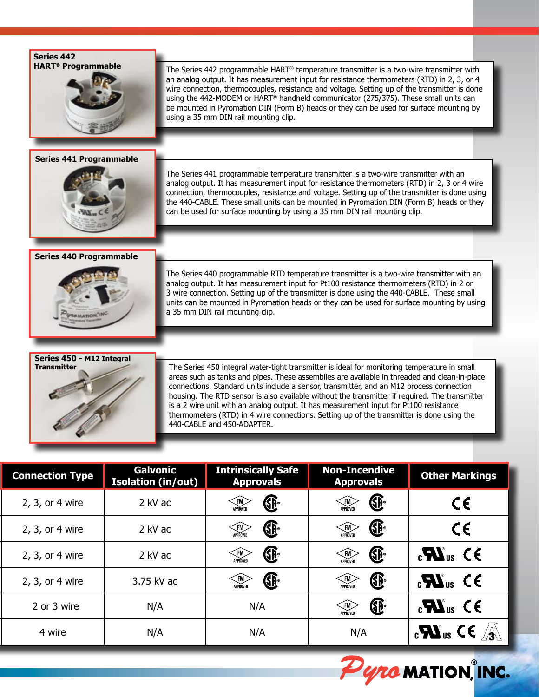**Series 442 HART® Programmable**



## **Series 441 Programmable**



## **Series 440 Programmable**



The Series 440 programmable RTD temperature transmitter is a two-wire transmitter with an analog output. It has measurement input for Pt100 resistance thermometers (RTD) in 2 or 3 wire connection. Setting up of the transmitter is done using the 440-CABLE. These small units can be mounted in Pyromation heads or they can be used for surface mounting by using a 35 mm DIN rail mounting clip.



The Series 450 integral water-tight transmitter is ideal for monitoring temperature in small areas such as tanks and pipes. These assemblies are available in threaded and clean-in-place connections. Standard units include a sensor, transmitter, and an M12 process connection housing. The RTD sensor is also available without the transmitter if required. The transmitter is a 2 wire unit with an analog output. It has measurement input for Pt100 resistance thermometers (RTD) in 4 wire connections. Setting up of the transmitter is done using the 440-CABLE and 450-ADAPTER.

| <b>Other Markings</b>                                             | <b>Non-Incendive</b><br><b>Approvals</b>                        | <b>Intrinsically Safe</b><br><b>Approvals</b>         | <b>Galvonic</b><br><b>Isolation (in/out)</b> | <b>Connection Type</b> |
|-------------------------------------------------------------------|-----------------------------------------------------------------|-------------------------------------------------------|----------------------------------------------|------------------------|
| しと                                                                | $\bigoplus$<br>$\left\langle \widehat{\text{FM}} \right\rangle$ | $\left\langle \widehat{\text{FM}} \right\rangle$<br>® | 2 kV ac                                      | 2, 3, or 4 wire        |
|                                                                   | ®<br>$\left\langle \widehat{\text{FM}} \right\rangle$           | ®<br>$\leftarrow$ FM                                  | 2 kV ac                                      | 2, 3, or 4 wire        |
| $\mathbf{c}$ <b>N</b> <sub>us</sub> $\mathbf{C} \in$              | ®<br>$\left\langle \widehat{\text{FM}} \right\rangle$           | ®<br>$\left\langle \widehat{\text{FM}} \right\rangle$ | 2 kV ac                                      | 2, 3, or 4 wire        |
| $\mathbf{c}$ <b>N</b> <sub>us</sub> CE                            | ®<br>$\left\langle \widehat{\text{FM}} \right\rangle$           | ®<br>$\left\langle \widehat{\text{FM}} \right\rangle$ | 3.75 kV ac                                   | 2, 3, or 4 wire        |
| $\mathbf{c}$ <b>W</b> <sub>us</sub> CE                            | ®<br>APPROVED                                                   | N/A                                                   | N/A                                          | 2 or 3 wire            |
| $\mathbf{C}$ $\mathbf{W}_{\text{us}}$ CE $\mathbf{A}_{\text{in}}$ | N/A                                                             | N/A                                                   | N/A                                          | 4 wire                 |



The Series 442 programmable HART® temperature transmitter is a two-wire transmitter with an analog output. It has measurement input for resistance thermometers (RTD) in 2, 3, or 4 wire connection, thermocouples, resistance and voltage. Setting up of the transmitter is done using the 442-MODEM or HART® handheld communicator (275/375). These small units can be mounted in Pyromation DIN (Form B) heads or they can be used for surface mounting by using a 35 mm DIN rail mounting clip.

The Series 441 programmable temperature transmitter is a two-wire transmitter with an analog output. It has measurement input for resistance thermometers (RTD) in 2, 3 or 4 wire connection, thermocouples, resistance and voltage. Setting up of the transmitter is done using the 440-CABLE. These small units can be mounted in Pyromation DIN (Form B) heads or they can be used for surface mounting by using a 35 mm DIN rail mounting clip.